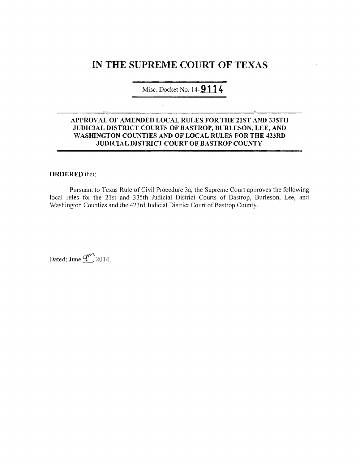# **IN THE SUPREME COURT OF TEXAS**

Misc. Docket No. 14-**9114** 

## **APPROV AL OF AMENDED LOCAL RULES FOR THE 21ST AND 335TH JUDICIAL DISTRICT COURTS OF BASTROP, BURLESON, LEE, AND WASHINGTON COUNTIES AND OF LOCAL RULES FOR THE 423RD JUDICIAL DISTRICT COURT OF BASTROP COUNTY**

## **ORDERED** that:

Pursuant to Texas Rule of Civil Procedure 3a, the Supreme Court approves the following local rules for the 21st and 335th Judicial District Courts of Bastrop, Burleson, Lee, and Washington Counties and the 423rd Judicial District Court of Bastrop County.

Dated: June  $q^{\prime\prime\prime}$  2014.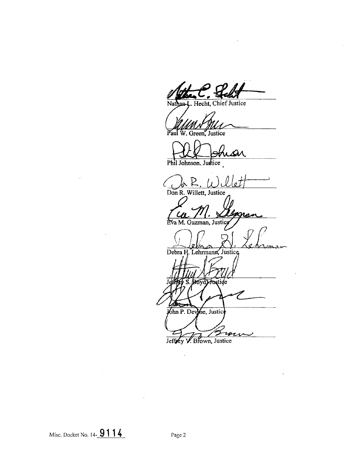Hecht, Chief Justice  $\overline{\text{and}}$ 

Green, Justice

Phil Johnson, Justice

 $\sum$ **Don R. Willett, Justice** 

Eva M. Guzman, Justic

Debra H. Lehrmann, Justice

ıø

oyd Anstide John P. Devine, Justic

Jeffrey V. Brown, Justice

Misc. Docket No. 14- **911 4** Page 2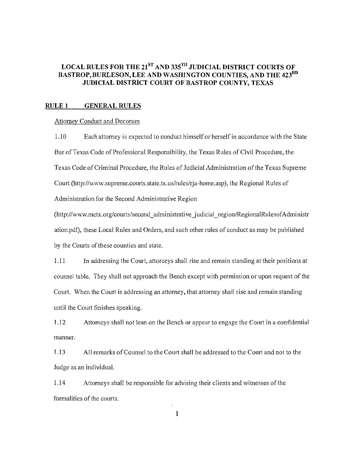# LOCAL RULES FOR THE  $21^{ST}$  AND 335<sup>TH</sup> JUDICIAL DISTRICT COURTS OF BASTROP, BURLESON, LEE AND WASHINGTON COUNTIES, AND THE 423RD JUDICIAL DISTRICT COURT OF BASTROP COUNTY, TEXAS

## RULE 1 GENERAL RULES

#### Attorney Conduct and Decorum

1.10 Each attorney is expected to conduct himself or herself in accordance with the State Bar of Texas Code of Professional Responsibility, the Texas Rules of Civil Procedure, the Texas Code of Criminal Procedure, the Rules of Judicial Administration of the Texas Supreme Court (http://www.supreme.courts.state.tx.us/rules/rja-home.asp), the Regional Rules of Administration for the Second Administrative Region

(http://www.mctx.org/courts/second\_administrative\_judicial\_region/RegionalRulesofAdministr ation.pdt), these Local Rules and Orders, and such other rules of conduct as may be published by the Courts of these counties and state.

1.11 In addressing the Court, attorneys shall rise and remain standing at their positions at counsel table. They shall not approach the Bench except with permission or upon request of the Court. When the Court is addressing an attorney, that attorney shall rise and remain standing until the Court finishes speaking.

1.12 Attorneys shall not lean on the Bench or appear to engage the Court in a confidential manner.

1.13 All remarks of Counsel to the Court shall be addressed to the Court and not to the Judge as an individuaL

1.14 Attorneys shall be responsible for advising their clients and witnesses ofthe formalities of the courts.

 $\mathbf{I}$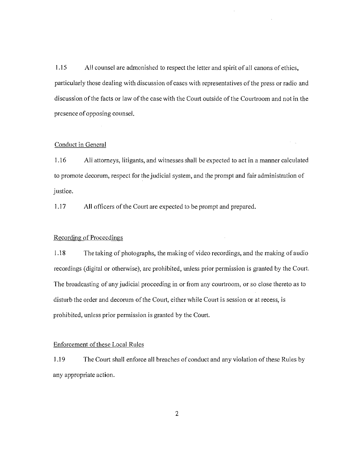1.15 All counsel are admonished to respect the letter and spirit of all canons of ethics, particularly those dealing with discussion ofcases with representatives of the press or radio and discussion of the facts or law of the case with the Court outside of the Courtroom and not in the presence of opposing counsel.

#### Conduct in General

1.16 All attorneys, litigants, and witnesses shall be expected to act in a manner calculated to promote decorum, respect for the judicial system, and the prompt and fair administration of justice.

1.17 All officers of the Court are expected to be prompt and prepared.

## Recording of Proceedings

1.18 The taking of photographs, the making of video recordings, and the making of audio recordings (digital or otherwise), arc prohibited, unless prior permission is granted by the Court. The broadcasting of any judicial proceeding in or from any courtroom, or so close thereto as to disturb the order and decorum of the Court, either while Court is session or at recess, is prohibited, unless prior permission is granted by the Court.

## Enforcement of these Local Rules

J.19 The Court shall enforce all breaches of conduct and any violation of these Rules by any appropriate action.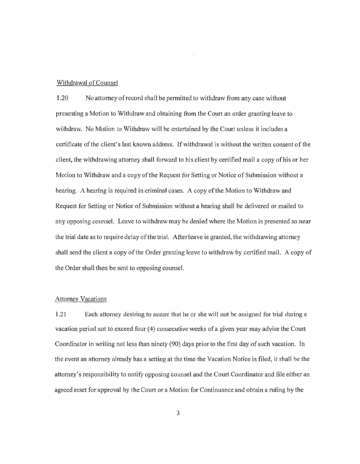#### Withdrawal of Counsel

1.20 No attorney of record shall be permitted to withdraw from any case without presenting a Motion to Withdraw and obtaining from the Court an order granting leave to withdraw. No Motion to Withdraw will be entertained by the Court unless it includes a certificate of the client's last known address. If withdrawal is without the written consent of the client, the withdrawing attorney shall forward to his client by certified mail a copy ofhis or her Motion to Withdraw and a copy ofthe Request for Setting or Notice of Submission without a hearing. A hearing is required in criminal cases. A copy of the Motion to Withdraw and Request for Setting or Notice of Submission without a hearing shall be delivered or mailed to any opposing counsel. Leave to withdraw may be denied where the Motion is presented so near the trial date as to require delay of the trial. After leave is granted, the withdrawing attorney shall send the client a copy of the Order granting leave to withdraw by certified mail. A copy of the Order shall then be sent to opposing counsel.

## Attorney Vacations

1.21 Each attorney desiring to assure that he or she will not be assigned for trial during a vacation period not to exceed four (4) consecutive weeks of a given year may advise the Court Coordinator in writing not less than ninety (90) days prior to the first day of such vacation. In the event an attorney already has a setting at the time the Vacation Notice is filed, it shall be the attorney's responsibility to notify opposing counsel and the Court Coordinator and iile either an agreed reset for approval by the Court or a Motion for Continuance and obtain a ruling by the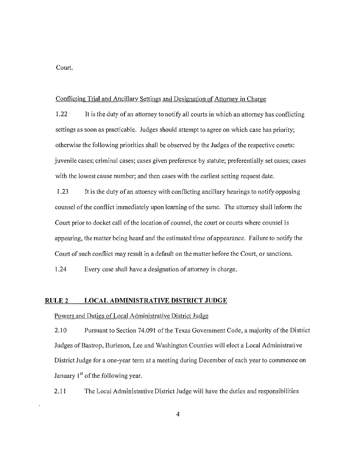Court.

## Conflicting Trial and Ancillary Settings and Designation of Attorney in Charge

1.22 . It is the duty of an attorney to notify all courts in which an attorney has conflicting settings as soon as practicable. Judges should attempt to agree on which case has priority; otherwise the following priorities shall be observed by the Judges of the respective courts: juvenile cases; criminal cases; cases given preference by statute; preferentially set eases; cases with the lowest cause number; and then cases with the earliest setting request date.

1.23 It is the duty ofan attorney with conl1icting ancillary hearings to notify opposing counsel of the conflict immediately upon learning of the same. The attorney shall inform the Court prior to docket call of the location of counsel, the court or courts where counsel is appearing, the matter being heard and the estimated time ofappearance. Failure to notify the Court of such conflict may result in a default on the matter before the Court, or sanctions.

1.24 Every case shall have a designation of attorney in charge.

## RULE 2 **LOCAL ADMINISTRATIVE DISTRICT JUDGE**

Powers and Duties of Local Administrative District Judge

2.10 Pursuant to Section 74.091 of the Texas Government Code, a majority of the District Judges of Bastrop, Burleson, Lee and Washington Counties will elect a Local Administrative District Judge for a one-year term at a meeting during December of each year to commence on January  $1<sup>st</sup>$  of the following year.

2.11 The Local Administrative District Judge will have the duties and responsibilities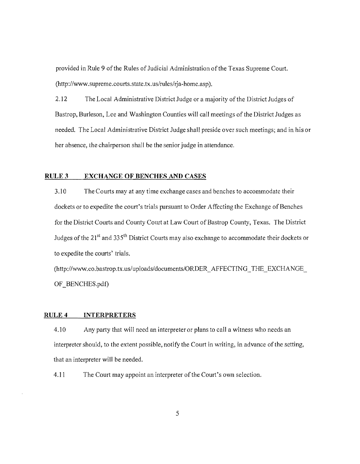provided in Rule 9 of the Rules of Judicial Administration of the Texas Supreme Court. (http://www.supreme.courts.state.tx.us/rules/rja-home.asp).

2.12 The Local Administrative District Judge or a majority of the District Judges of Bastrop, Burleson, Lee and Washington Counties will call meetings of the District Judges as needed. The Local Administrative District Judge shall preside over such meetings; and in his or her absence, the chairperson shall be the senior judge in attendance.

## RULE 3 **EXCHANGE OF BENCHES AND CASES**

3.10 The Courts may at any time exchange cases and benches to accommodate their dockets or to expedite the court's trials pursuant to Order Affecting the Exchange of Benches for the District Courts and County Court at Law Court of Bastrop County, Texas. The District Judges of the 21 *st* and 335th District Courts may also exchange to accommodate their dockets or to expedite the courts' trials.

(http://www.co.bastrop.tx.us/uploads/documents/ORDER\_AFFECTING\_THE\_EXCHANGE\_ OF BENCHES.pdf)

#### RULE 4 **INTERPRETERS**

4.10 Any party that will need an interpreter or plans to call a witness who needs an interpreter should, to the extent possible, notify the Court in writing, in advance of the setting, that an interpreter will be needed.

4.11 The Court may appoint an interpreter of the Court's own selection.

5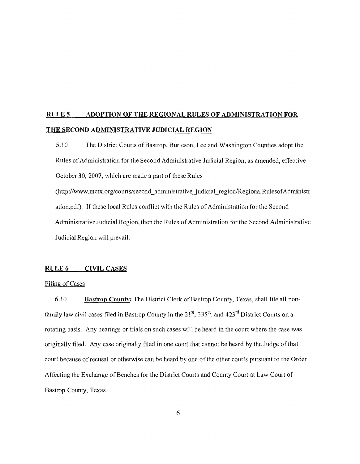# **RULES ADOPTION OF THE REGIONAL RULES OF ADMINISTRATION FOR THE SECOND ADMINISTRATIVE JUDICIAL REGION**

5.10 The District Courts of Bastrop, Burleson, Lee and Washington Counties adopt the Rules ofAdministration for the Second Administrative Judicial Region, as amended, effective October 30,2007, which are made a part of these Rules

(http://www.mctx.org/courts/second\_administrative\_judicial\_region/RegionalRulesofAdministr ation.pdf). If these local Rules conflict with the Rules of Administration for the Second Administrative Judicial Region, then the Rules of Administration for the Second Administrative Judicial Region **will** prevail.

## RULE 6 CIVIL CASES

## Filing of Cases

6.10 **Bastrop County:** The District Clcrk of Bastrop County, Texas, shall file all nonfamily law civil cases filed in Bastrop County in the 21<sup>st</sup>, 335<sup>th</sup>, and 423<sup>rd</sup> District Courts on a rotating basis. Any hearings or trials on such cases wilI be heard in the court where the case was originally filed. Any case originally filed **in** one court that cannot be heard by the Judge of that court because of recusal or otherwise can be heard by one of the other courts pursuant to the Order Affecting the Exchange of Benches for the District Courts and County Court at Law Court of Bastrop County, Texas.

6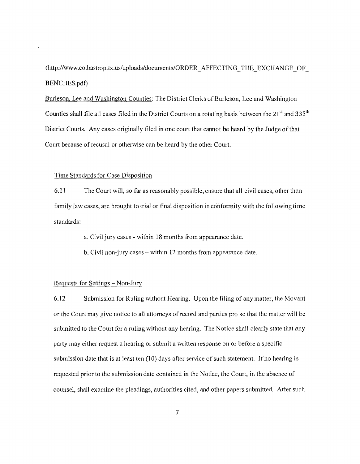(http://www.co.bastrop.tx.us/uploads/documents/ORDER\_AFFECTING\_THE\_EXCHANGE\_OF\_ BENCHES.pdf)

Burleson, Lee and Washington Counties: The District Clerks of Burleson, Lee and Washington Counties shall file all cases filed in the District Courts on a rotating basis between the  $21<sup>st</sup>$  and  $335<sup>th</sup>$ District Courts. Any cases originally filed in one court that cannot be heard by the Judge of that Court because of recusal or otherwise can be heard by the other Court.

## Time Standards for Case Disposition

6.11 The Court will, so far as reasonably possible, ensure that all civil cases, other than family law cases, are brought to trial or final disposition in conformity with the following time standards:

a. Civil jury cases - within 18 months from appearance date.

b. Civil non-jury cases – within 12 months from appearance date.

## Requests for Settings - Non-Jury

6.12 Submission for Ruling without Hearing. Upon the filing of any matter, the Movant or the Court may give notice to all attorneys of record and parties pro se that the matter will be submitted to the Court for a ruling without any hearing. The Notice shall clearly state that any party may either request a hearing or submit a written response on or before a specific submission date that is at least ten  $(10)$  days after service of such statement. If no hearing is requested prior to the submission date contained **in** the Notice, the Court, in the absence of counsel, shall examine the pleadings, authorities cited, and other papers submitted. After such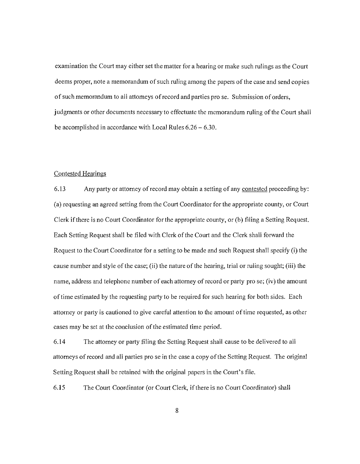examination the Court may either set the matter for a hearing or make such rulings as the Court deems proper, note a memorandum of such ruling among the papers of the case and send copies of such memorandum to all attorneys of record and parties pro se. Submission of orders, judgments or other documents necessary to effectuate the memorandum ruling of the Court shall be accomplished in accordance with Local Rules 6.26 - 6.30.

## Contested Hearings

6.13 Any party or attorney of record may obtain a setting of any contested proceeding by: (a) requesting an agreed setting from the Court Coordinator for the appropriate county, or Court Clerk if there is no Court Coordinator for the appropriate county, or (b) filing a Setting Request. Each Setting Request shall be filed with Clerk of the Court and the Clerk shall forward the Request to the Court Coordinator for a setting to be made and such Request shall specify (i) the cause number and style of the case; (ii) the nature of the hearing, trial or ruling sought; (iii) the name, address and telephone number of each attorney of record or party pro se; (iv) the amount of time estimated by the requesting party to be required for such hearing for both sides. Each attorney or party is cautioned to give careful attention to the amount oftime requested, as other cases may be set at the conclusion of the estimated time period.

6.14 The attorney or party filing the Setting Request shall cause to be delivered to all attorneys of record and all parties pro se in the case a copy ofthe Setting Request. The original Setting Request shall be retained with the original papers in the Court's file.

6.15 The Court Coordinator (or Court Clerk, if there is no Court Coordinator) shall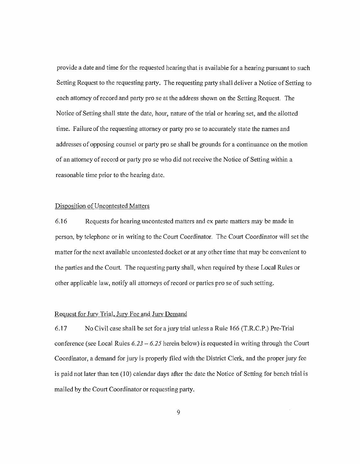provide a date and time for the requested hearing that is available for a hearing pursuant to such Setting Request to the requesting party. The requesting party shall deliver a Notice of Setting to each attorney of record and party pro se at the address shown on the Setting Request. The Notice of Setting shall state the date, hour, nature of the trial or hearing set, and the allotted time. Failure of the requesting attorney or party pro se to accurately state the names and addresses ofopposing counsel or party pro se shall be grounds for a continuance on the motion of an attorney ofrecord or party pro sc who did not receive the Notice of Setting within a reasonable time prior to the hearing date.

#### Disposition of Uncontested Matters

6.16 Requests for hearing uncontested matters and ex parte matters may be made in person, by telephone or in writing to the Court Coordinator. The Court Coordinator will set the matter for the next available uncontested docket or at any other time that may be convenient to the parties and the Court. The requesting party shall, when required by these Local Rules or other applicable law, notify all attorneys ofrecord or parties pro se of such setting.

## Request for Jury Trial, Jury Fee and Jury Demand

6.17 No Civil case shall be set for ajury trial unless a Rule 166 (T.R.C.P.) Pre-Trial conference (see Local Rules  $6.23 - 6.25$  herein below) is requested in writing through the Court Coordinator, a demand for jury is properly filed with the District Clerk, and the proper jury fee is paid not later than ten (10) calendar days after the date the Notice of Setting for bench trial is mailed by the Court Coordinator or requesting party.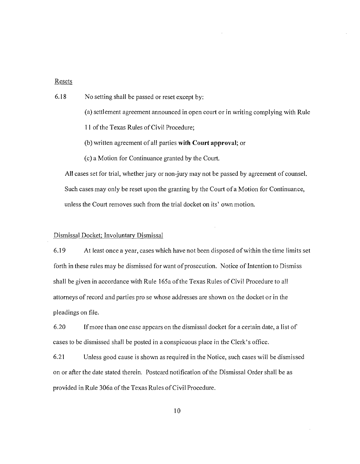## Resets

- 6.18 No setting shall be passed or reset except by:
	- (a) settlement agreement announced in open court or in writing complying with Rule
	- II of the Texas Rules of Civil Procedure;
	- (b) written agreement of all parties **with Court** approval; or
	- (c) a Motion for Continuance granted by the Court.

All cases set for trial, whether jury or non-jury may not be passed by agreement of counsel. Such cases may only be reset upon the granting by the Court of a Motion for Continuance, unless the Court removes such from the trial docket on its' own motion.

## Dismissal Docket; Involuntary Dismissal

6.19 At least once a year, cases which have not been disposed ofwithin the time limits set forth in these rules may be dismissed for want of prosecution. Notice of Intention to Dismiss shall be given in accordance with Rule 165a ofthe Texas Rules of Civil Procedure to all attorneys of record and parties pro se whose addresses are shown on the docket or in the pleadings on file.

6.20 Ifmore than one case appears on the dismissal docket for a certain date, a list of cases to be dismissed shall be posted in a conspicuous place in the Clerk's office.

6.21 Unless good cause is shown as required in the Notice, such cases will be dismissed on or after the date stated therein. Postcard notification of the Dismissal Order shall be as provided in Rule 306a of the Texas Rules of Civil Procedure.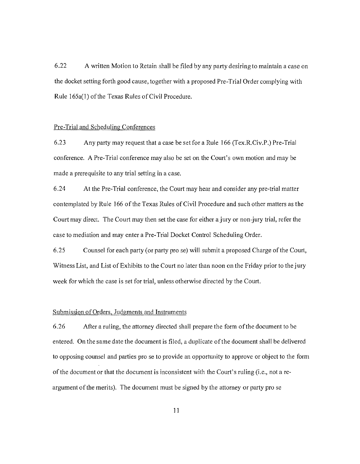6.22 A written Motion to Retain shall be filed by any party desiring to maintain a case on the docket setting forth good cause, together with a proposed Pre-Trial Order complying with Rule 165a(1) of the Texas Rules of Civil Procedure.

## Pre-Trial and Scheduling Conferences

6.23 Any party may request that a case be set for a Rule 166 (Tex.RCiv.P.) Pre-Trial conference. A Pre-Trial conference may also be set on the Court's own motion and may be made a prerequisite to any trial setting in a case.

6.24 At the Pre-Trial conference, the Court may hear and consider any pre-trial matter contemplated by Rule 166 of the Texas Rules of Civil Procedure and such other matters as the Court may direct. The Court may then set the case tor either a jury or non-jury trial, refer the case to mediation and may enter a Pre-Trial Docket Control Scheduling Order.

6.25 Counsel for each party (or party pro se) **will** submit a proposed Charge of the Court, Witness List, and List of Exhibits to the Court no later than noon on the Friday prior to the jury week for which the case is set for trial, unless otherwise directed by the Court.

## Submission ofOrders, Judgments and Instruments

6.26 After a ruling, the attorney directed shall prepare the form ofthe document to be entered. On the same date the document is filed, a duplicate ofthe document shall be delivered to opposing counsel and parties pro se to provide an opportunity to approve or object to the form ofthe document or that the document is inconsistent with the Court's ruling (i.e., not a reargument ofthe merits). The document must be signed by the attorney or party pro se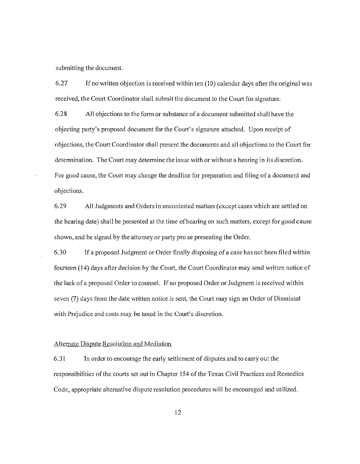submitting the document.

6.27 Ifno written objection is received within ten (10) calendar days after the original was received, the Court Coordinator shall submit the document to the Court for signature.

6.28 All objections to the form or substance of a document submitted shall have the objecting party's proposed document for the Court's signature attached. Upon receipt of objections, the Court Coordinator shall present the documents and all objections to the Court for determination. The Court may determine the issue with or without a hearing in its discretion. For good cause, the Court may change the deadline for preparation and filing of a document and objections.

6.29 All Judgments and Orders in uncontested matters (except cases which are settled on the hearing date) shall be presented at the time ofhearing on such matters, except for good cause shown, and be signed by the attorney or party pro se presenting the Order.

*6.30* If a proposed Judgment or Order finally disposing of a case has not been filed within fourteen (14) days after decision by the Court, the Court Coordinator may send written notice of the lack of a proposed Order to counsel. If no proposed Order or Judgment is received within seven (7) days from the date written notice is sent, the Court may sign an Order of Dismissal with Prejudice and costs may be taxed in the Court's discretion.

#### Alternate Dispute Resolution and Mediation

6.31 In order to encourage the early settlement of disputes and to carry out the responsibilities of the courts set out in Chapter 154 of the Texas Civil Practices and Remedies Code, appropriate alternative dispute resolution procedures will be encouraged and utilized.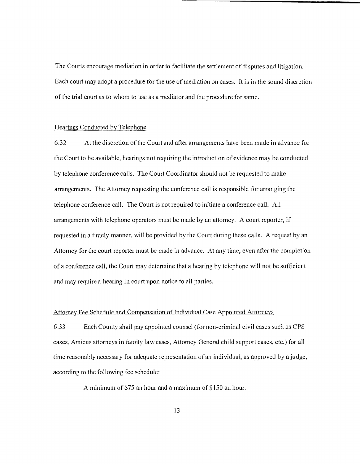The Courts encourage mediation in order to facilitate the settlement of disputes and litigation. Each court may adopt a procedure for the use of mediation on cases. It is in the sound discretion of the trial court as to whom to use as a mediator and the procedure for same.

#### Hearings Conducted by Telephone

6.32 At the discretion of the Court and after arrangements have been made in advance for the Court to be available, hearings not requiring the introduction of evidence may be conducted by telephone conference calls. The Court Coordinator should not be requested to make arrangements. The Attorney requesting the conference call is responsible for arranging the telephone conference call. The Court is not required to initiate a conference call. All arrangements with telephone operators must be made by an attorney. A court reporter, if requested in a timely manner, will be provided by the Court during these calls. A request by an Attorney for the court reporter must be made in advance. At any time, even after the completion of a conference call, the Court may determine that a hearing by telephone will not be sufficient and may require a hearing in court upon notice to all parties.

## Attorney Fee Schedule and Compensation of Individual Case Appointed Attorneys

6.33 Each County shall pay appointed counsel (fornon-criminal civil cases such as CPS cases, Amicus attorneys in family law cases, Attorney General child support cases, etc.) for all time reasonably necessary for adequate representation of an individual, as approved by a judge, according to the following fee schedule:

A minimum of\$75 an hour and a maximum of\$150 an hour.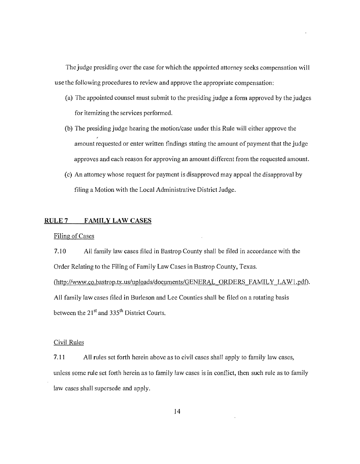The judge presiding over the case for which the appointed attorney seeks compensation will use the following procedures to review and approve the appropriate compensation:

- (a) The appointed counsel must submit to the presiding judge a form approved by the judges for itemizing the services performed.
- (b) The presiding judge hearing the motion/case under this Rule will either approve the amount requested or enter written findings stating the amount of payment that the judge approves and each reason for approving an amount different from the requested amount.
- (c) An attorney whose request for payment is disapproved may appeal the disapproval by filing a Motion with the Local Administrative District Judge.

## RULE 7 **FAMILY LAW CASES**

#### Filing of Cases

7.10 All family law cases filed in Bastrop County shall be filed in accordance with the Order Relating to the Filing of Family Law Cases in Bastrop County, Texas. (http://www.co.bastrop.tx.us/uploads/documents/GENERAL ORDERS FAMILY LAW1.pdf). All family law cases filed in Burleson and Lee Counties shall be filed on a rotating basis between the 21<sup>st</sup> and 335<sup>th</sup> District Courts.

#### Civil Rules

7.11 All rules set forth herein above as to civil cases shall apply to family law cases, unless some rule set forth herein as to family law cases is in conflict, then such rule as to family law cases shall supersede and apply.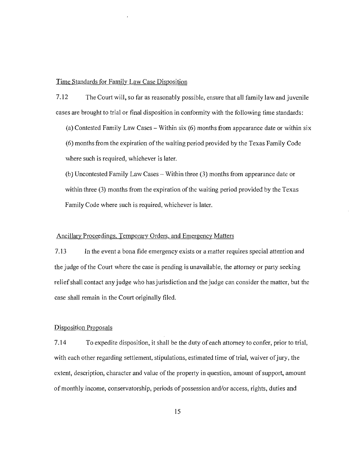## Time Standards for Family Law Case Disposition

7.12 The Court will, so far as reasonably possible, ensure that all family law and juvenile cases are brought to trial or final disposition in conformity with the following time standards:

(a) Contested Family Law Cases – Within six  $(6)$  months from appearance date or within six (6) months from the expiration ofthe waiting period provided by the Texas Family Code where such is required, whichever is later.

(b) Uncontested Family Law Cases - Within three (3) months from appearance date or within three (3) months from the expiration of the waiting period provided by the Texas Family Code where such is required, whichever is later.

## Ancillary Proceedings. Temporarv Orders. and Emergency Matters

7.13 In the event a bona fide emergency exists or a matter requires special attention and the judge of the Court where the case is pending is unavailable, the attorney or party seeking relief shall contact any judge who has jurisdiction and the judge can consider the matter, but the case shall remain in the Court originally filed.

## Disposition Proposals

7.14 To expedite disposition, it shall be the duty ofeach attorney to confer, prior to trial, with each other regarding settlement, stipulations, estimated time of trial, waiver of jury, the extent, description, character and value of the property in question, amount of support, amount of monthly income, conservatorship, periods of possession and/or access, rights, duties and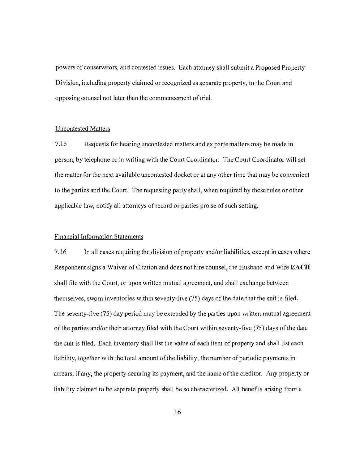powers of conservators, and contested issues. Each attorney shall submit a Proposed Property Division, including property claimed or recognized as separate property, to the Court and opposing counsel not later than the commencement of trial.

#### Uncontested Matters

7.15 Requests for hearing uncontested matters and ex parte matters may be made in person, by telephone or in writing with the Court Coordinator. The Court Coordinator will set the matter for the next available uncontested docket or at any other time that may be convenient to the parties and the Court. The requesting party shall, when required by these rules or other applicable law, notify all attorneys of record or parties pro se of such setting.

## Financial Information Statements

7.16 In all cases requiring the division of property and/or liabilities, except in cases where Respondent signs a Waiver of Citation and does not hire counsel, the Husband and Wife **EACH**  shall file with the Court, or upon written mutual agreement, and shall exchange between themselves, sworn inventories within seventy-five (75) days of the date that the suit is 11led. The seventy-five (75) day period may be extended by the parties upon written mutual agreement ofthe parties andlor their attorney filed with the Court within seventy-five (75) days of the date the suit is tiled. Each inventory shaUlist the value of each item of properly and shall list each liability, together with the total amount of the liability, the number of periodic payments in arrears, ifany, the property securing its payment, and the name ofthe creditor. Any property or liability claimed to be separate property shall be so characterized. All benefits arising from a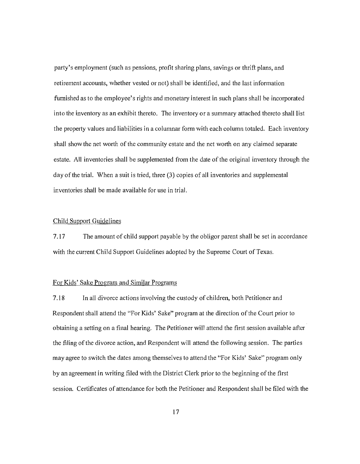party's employment (such as pensions, profit sharing plans, savings or thrift plans, and retirement accounts, whether vested or not) shall be identified, and the last information furnished as to the employee's rights and monetary interest in such plans shall be incorporated into the inventory as an exhibit thereto. The inventory or a summary attached thereto shall list the property values and liabilities in a columnar form with each column totaled. Each inventory shall show the net worth of the community estate and the net worth on any claimed separate estate. All inventories shall be supplemented from the date ofthe original inventory through the  $day$  of the trial. When a suit is tried, three  $(3)$  copies of all inventories and supplemental inventories shall be made available for use in trial.

## Child Support Guidelines

7.17 The amount of child support payable by the obligor parent shall be set in accordance with the current Child Support Guidelines adopted by the Supreme Court of Texas.

## For Kids' Sake Program and Similar Programs

7.18 In all divorce actions involving the custody of children, both Petitioner and Respondent shall attend the "For Kids' Sake" program at the direction of the Court prior to obtaining a setting on a final hearing. The Petitioner will attend the first session available after the filing of the divorce action, and Respondent will attend the following session. The parties may agree to switch the dates among themselves to attend the "For Kids' Sake" program only by an agreement in writing filed with the District Clerk prior to the beginning ofthe first session. Certificates of attendance for both the Petitioner and Respondent shall be filed with the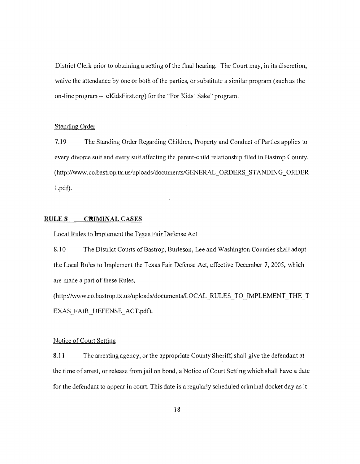District Clerk prior to obtaining a setting of the final hearing. The Court may, in its discretion, waive the attendance by one or both of the parties, or substitute a similar program (such as the on-line program  $-$  eKidsFirst.org) for the "For Kids' Sake" program.

## Standing Order

7.19 The Standing Order Regarding Children, Property and Conduct of Parties applies to every divorce suit and every suit affecting the parent-child relationship filed in Bastrop County. (http://www.co.bastrop.tx.us/upJoads/documents/GENERAL\_ORDERS\_STANDING\_ORDER l.pdf).

## **RULE 8 CRIMINAL CASES**

#### Local Rules to Implement the Texas Fair Defense Act

8.10 The District Courts of Bastrop, Burleson, Lee and Washington Counties shall adopt the Local Rules to Implement the Texas Fair Defense Act, effective December 7, 2005, which are made a part of these Rules.

(http://www.co.bastrop.tx.us/uploads/documents/LOCAL \_RULES\_TO \_IMPLEMENT\_THE \_ T EXAS FAIR DEFENSE ACT.pdf).

## Notice of Court Setting

8.11 The arresting agency, or the appropriate County Sheriff, shall give the defendant at the time of arrest, or release from jail on bond, a Notice of Court Setting which shall have a date for the defendant to appear in court. This date is a regularly scheduled criminal docket day as it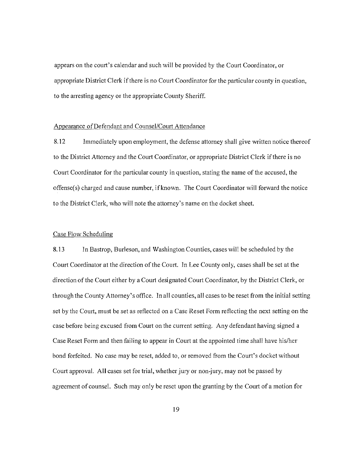appears on the court's calendar and such will be provided by the Court Coordinator, or appropriate District Clerk if there is no Court Coordinator for the particular county in question, to the arresting agency or the appropriate County Sheriff.

## Appearance of Defendant and Counsel/Court Attendance

8.12 Immediately upon employment, the defense attorney shall give written notice thereof to the District Attorney and the Court Coordinator, or appropriate District Clerk ifthere is no Court Coordinator for the particular county in question, stating the name of the accused, the offense(s) charged and cause number, ifknown. The Court Coordinator will forward the notice to the District Clerk, who will note the attorney's name on the docket sheet.

#### Case Flow Scheduling

8.13 In Bastrop, Burleson, and Washington Counties, cases will be scheduled by the Court Coordinator at the direction of the Court. In Lee County only, cases shall be set at the direction of the Court either by a Court designated Court Coordinator, by the District Clerk, or through the County Attorney's office. In all counties, all cases to be reset from the initial setting set by the Court, must be set as reflected on a Case Reset Form reflecting the next setting on the case before being excused from Court on the current setting. Any defendant having signed a Case Reset Form and then failing to appear in Court at the appointed time shall have his/her bond forfeited. No case may be reset, added to, or removed from the Court's docket without Court approval. All cases set for trial, whether jury or non-jury, may not be passed by agreement of counsel. Such may only be reset upon the granting by the Court of a motion for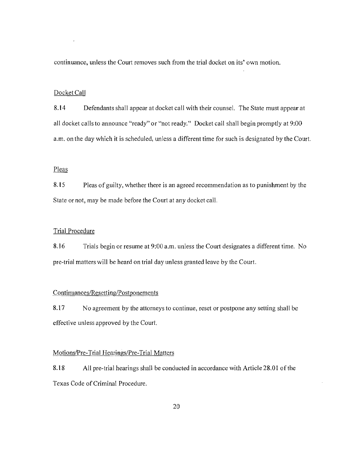continuance, unless the Court removes such from the trial docket on its' own motion.

#### Docket Call

8.14 Defendants shall appear at docket call with their counsel. The State must appear at all docket calls to announce "ready" or "not ready." Docket call shall begin promptly at 9:00 a.m. on the day which it is scheduled, unless a different time for such is designated by the Court.

## Pleas

8.15 Pleas of guilty, whether there is an agreed recommendation as to punishment by the State or not, may be made before the Court at any docket call.

## Trial Procedure

8.16 Trials begin or resume at 9:00 a.m. unless the Court designates a different time. No pre-trial matters will be heard on trial day unless granted leave by the Court.

#### Continuances/Resetting/Postponements

8.17 No agreement by the attorneys to continue, reset or postpone any setting shall be effective unless approved by the Court.

#### Motions/Pre-Trial Hearings/Pre-Trial Matters

8.18 All pre-trial hearings shall be conducted in accordance with Article 28.01 of the Texas Code of Criminal Procedure.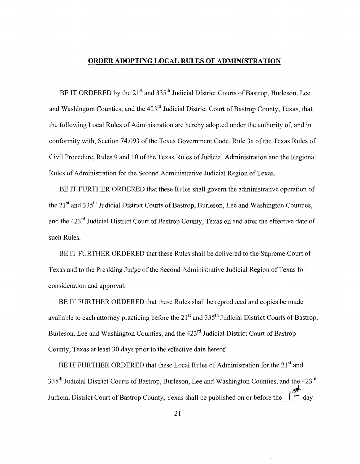## **ORDER ADOPTING LOCAL RULES OF ADMINISTRATION**

BE IT ORDERED by the 21<sup>st</sup> and 335<sup>th</sup> Judicial District Courts of Bastrop, Burleson, Lee and Washington Counties, and the 423<sup>rd</sup> Judicial District Court of Bastrop County, Texas, that the following Local Rules of Administration are hereby adopted under the authority of, and in conformity with, Section 74.093 of the Texas Government Code, Rule 3a ofthe Texas Rules of Civil Procedure, Rules 9 and 10 of the Texas Rules of Judicial Administration and the Regional Rules of Administration for the Second Administrative Judicial Region of Texas.

BE IT FURTHER ORDERED that these Rules shall govern the administrative operation of the  $21<sup>st</sup>$  and 335<sup>th</sup> Judicial District Courts of Bastrop, Burleson, Lee and Washington Counties, and the 423<sup>rd</sup> Judicial District Court of Bastrop County, Texas on and after the effective date of such Rules.

BE IT FURTHER ORDERED that these Rules shall be delivered to the Supreme Court of Texas and to the Presiding Judge ofthe Second Administrative Judicial Region of Texas for consideration and approval.

BE IT FURTHER ORDERED that these Rules shall be reproduced and copies be made available to each attorney practicing before the  $21<sup>st</sup>$  and  $335<sup>th</sup>$  Judicial District Courts of Bastrop, Burleson, Lee and Washington Counties, and the 423<sup>rd</sup> Judicial District Court of Bastrop County, Texas at least 30 days prior to the effective date hereof.

BE IT FURTHER ORDERED that these Local Rules of Administration for the 21<sup>st</sup> and 335<sup>th</sup> Judicial District Courts of Bastrop, Burleson, Lee and Washington Counties, and the 423<sup>rd</sup> Judicial District Court of Bastrop County, Texas shall be published on or before the  $\frac{1}{\epsilon}$  day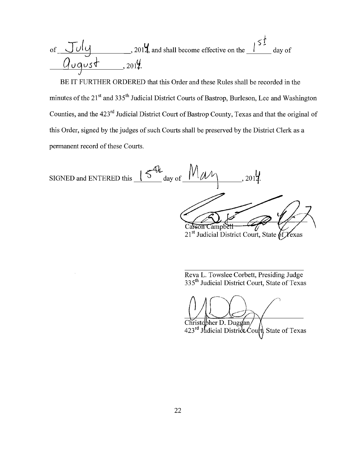of 
$$
\frac{J_U|_{U}}{Q_{U}q_{U}+Q_{U}q_{U}}
$$
, 2014, and shall become effective on the

BE IT FURTHER ORDERED that this Order and these Rules shall be recorded in the minutes of the 21<sup>st</sup> and 335<sup>th</sup> Judicial District Courts of Bastrop, Burleson, Lee and Washington Counties, and the 423<sup>rd</sup> Judicial District Court of Bastrop County, Texas and that the original of this Order, signed by the judges of such Courts shall be preserved by the District Clerk as a permanent record of these Courts.

SIGNED and ENTERED this  $\frac{\sqrt{4\hbar}}{\sqrt{2}}$  day of \_ Carson Campbell 21<sup>st</sup> Judicial District Court, State of Yexas

Reva L. Towslee Corbett, Presiding Judge 335<sup>th</sup> Judicial District Court, State of Texas

Christopher D. Duggan/<br>423<sup>rd</sup> Judicial District Court, State of Texas